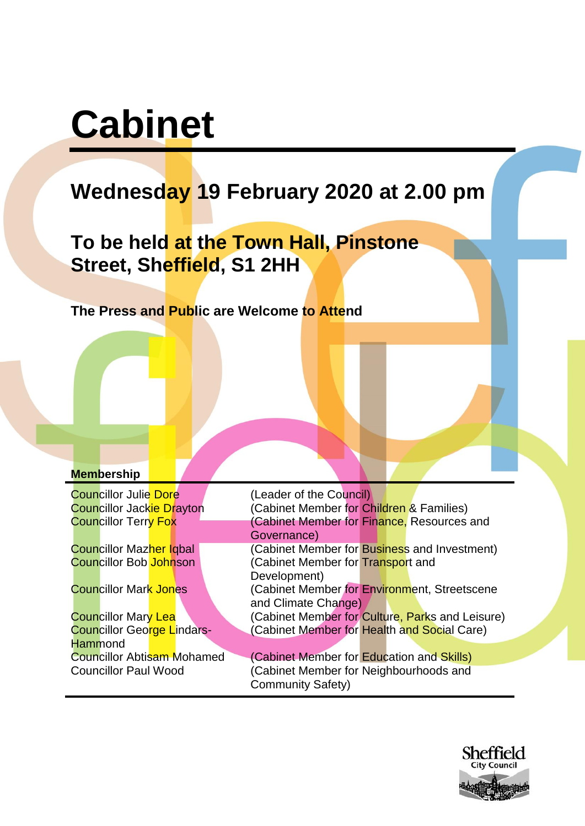# **Cabinet**

# **Wednesday 19 February 2020 at 2.00 pm**

**To be held at the Town Hall, Pinstone Street, Sheffield, S1 2HH**

**The Press and Public are Welcome to Attend**

#### **Membership**

**Councillor Julie Dore** (Leader of the Council)

Councillor George Lindars-**Hammond** 

Councillor Jackie Drayton (Cabinet Member for Children & Families) Councillor Terry Fox (Cabinet Member for Finance, Resources and Governance) Councillor Mazher Iqbal **Councillor** (Cabinet Member for Business and Investment) Councillor Bob Johnson (Cabinet Member for Transport and Development) Councillor Mark Jones (Cabinet Member for Environment, Streetscene and Climate Change) Councillor Mary Lea (Cabinet Member for Culture, Parks and Leisure) (Cabinet Member for Health and Social Care) Councillor Abtisam Mohamed (Cabinet Member for Education and Skills) Councillor Paul Wood (Cabinet Member for Neighbourhoods and Community Safety)

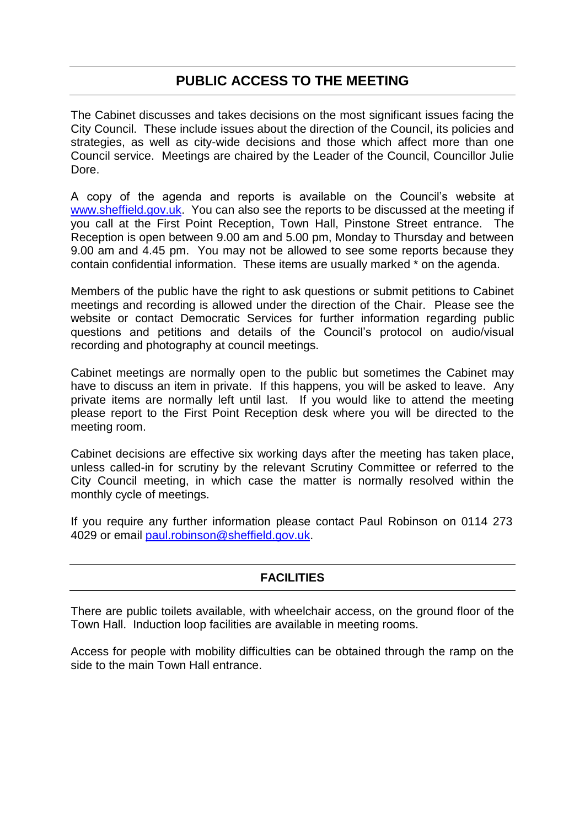# **PUBLIC ACCESS TO THE MEETING**

The Cabinet discusses and takes decisions on the most significant issues facing the City Council. These include issues about the direction of the Council, its policies and strategies, as well as city-wide decisions and those which affect more than one Council service. Meetings are chaired by the Leader of the Council, Councillor Julie Dore.

A copy of the agenda and reports is available on the Council's website at [www.sheffield.gov.uk.](http://www.sheffield.gov.uk/) You can also see the reports to be discussed at the meeting if you call at the First Point Reception, Town Hall, Pinstone Street entrance. The Reception is open between 9.00 am and 5.00 pm, Monday to Thursday and between 9.00 am and 4.45 pm. You may not be allowed to see some reports because they contain confidential information. These items are usually marked \* on the agenda.

Members of the public have the right to ask questions or submit petitions to Cabinet meetings and recording is allowed under the direction of the Chair. Please see the website or contact Democratic Services for further information regarding public questions and petitions and details of the Council's protocol on audio/visual recording and photography at council meetings.

Cabinet meetings are normally open to the public but sometimes the Cabinet may have to discuss an item in private. If this happens, you will be asked to leave. Any private items are normally left until last. If you would like to attend the meeting please report to the First Point Reception desk where you will be directed to the meeting room.

Cabinet decisions are effective six working days after the meeting has taken place, unless called-in for scrutiny by the relevant Scrutiny Committee or referred to the City Council meeting, in which case the matter is normally resolved within the monthly cycle of meetings.

If you require any further information please contact Paul Robinson on 0114 273 4029 or email [paul.robinson@sheffield.gov.uk.](mailto:paul.robinson@sheffield.gov.uk)

### **FACILITIES**

There are public toilets available, with wheelchair access, on the ground floor of the Town Hall. Induction loop facilities are available in meeting rooms.

Access for people with mobility difficulties can be obtained through the ramp on the side to the main Town Hall entrance.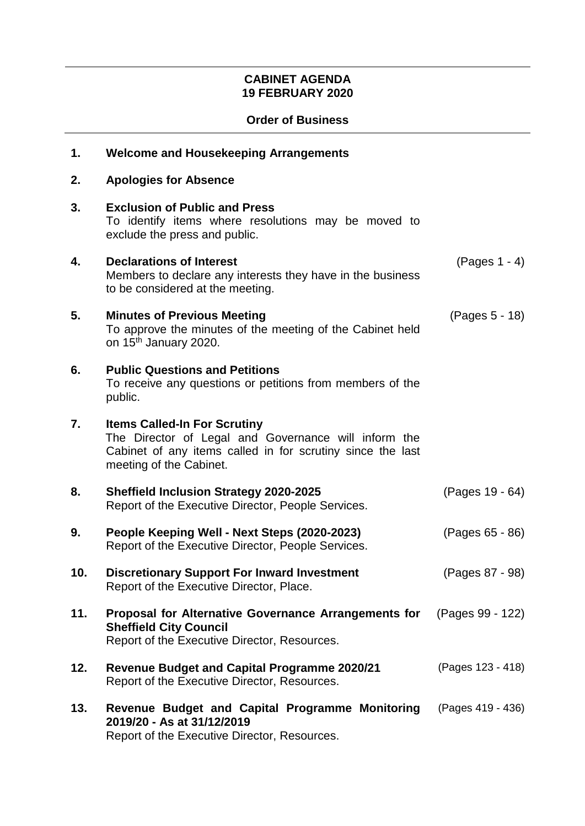## **CABINET AGENDA 19 FEBRUARY 2020**

#### **Order of Business**

| 1.  | <b>Welcome and Housekeeping Arrangements</b>                                                                                                                                         |                   |
|-----|--------------------------------------------------------------------------------------------------------------------------------------------------------------------------------------|-------------------|
| 2.  | <b>Apologies for Absence</b>                                                                                                                                                         |                   |
| 3.  | <b>Exclusion of Public and Press</b><br>To identify items where resolutions may be moved to<br>exclude the press and public.                                                         |                   |
| 4.  | <b>Declarations of Interest</b><br>Members to declare any interests they have in the business<br>to be considered at the meeting.                                                    | $(Pages 1 - 4)$   |
| 5.  | <b>Minutes of Previous Meeting</b><br>To approve the minutes of the meeting of the Cabinet held<br>on 15 <sup>th</sup> January 2020.                                                 | (Pages 5 - 18)    |
| 6.  | <b>Public Questions and Petitions</b><br>To receive any questions or petitions from members of the<br>public.                                                                        |                   |
| 7.  | <b>Items Called-In For Scrutiny</b><br>The Director of Legal and Governance will inform the<br>Cabinet of any items called in for scrutiny since the last<br>meeting of the Cabinet. |                   |
| 8.  | <b>Sheffield Inclusion Strategy 2020-2025</b><br>Report of the Executive Director, People Services.                                                                                  | (Pages 19 - 64)   |
| 9.  | People Keeping Well - Next Steps (2020-2023)<br>Report of the Executive Director, People Services.                                                                                   | (Pages 65 - 86)   |
| 10. | <b>Discretionary Support For Inward Investment</b><br>Report of the Executive Director, Place.                                                                                       | (Pages 87 - 98)   |
| 11. | Proposal for Alternative Governance Arrangements for<br><b>Sheffield City Council</b><br>Report of the Executive Director, Resources.                                                | (Pages 99 - 122)  |
| 12. | <b>Revenue Budget and Capital Programme 2020/21</b><br>Report of the Executive Director, Resources.                                                                                  | (Pages 123 - 418) |
| 13. | Revenue Budget and Capital Programme Monitoring<br>2019/20 - As at 31/12/2019<br>Report of the Executive Director, Resources.                                                        | (Pages 419 - 436) |